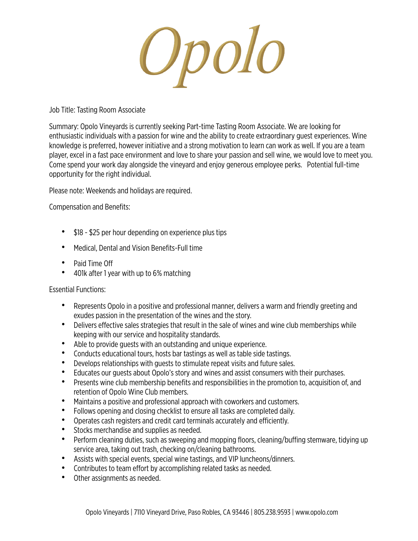Opolo

Job Title: Tasting Room Associate

Summary: Opolo Vineyards is currently seeking Part-time Tasting Room Associate. We are looking for enthusiastic individuals with a passion for wine and the ability to create extraordinary guest experiences. Wine knowledge is preferred, however initiative and a strong motivation to learn can work as well. If you are a team player, excel in a fast pace environment and love to share your passion and sell wine, we would love to meet you. Come spend your work day alongside the vineyard and enjoy generous employee perks. Potential full-time opportunity for the right individual.

Please note: Weekends and holidays are required.

Compensation and Benefits:

- \$18 \$25 per hour depending on experience plus tips
- Medical, Dental and Vision Benefits-Full time
- Paid Time Off
- 401k after 1 year with up to 6% matching

## Essential Functions:

- Represents Opolo in a positive and professional manner, delivers a warm and friendly greeting and exudes passion in the presentation of the wines and the story.
- Delivers effective sales strategies that result in the sale of wines and wine club memberships while keeping with our service and hospitality standards.
- Able to provide guests with an outstanding and unique experience.
- Conducts educational tours, hosts bar tastings as well as table side tastings.
- Develops relationships with guests to stimulate repeat visits and future sales.
- Educates our guests about Opolo's story and wines and assist consumers with their purchases.
- Presents wine club membership benefits and responsibilities in the promotion to, acquisition of, and retention of Opolo Wine Club members.
- Maintains a positive and professional approach with coworkers and customers.
- Follows opening and closing checklist to ensure all tasks are completed daily.
- Operates cash registers and credit card terminals accurately and efficiently.
- Stocks merchandise and supplies as needed.
- Perform cleaning duties, such as sweeping and mopping floors, cleaning/buffing stemware, tidying up service area, taking out trash, checking on/cleaning bathrooms.
- Assists with special events, special wine tastings, and VIP luncheons/dinners.
- Contributes to team effort by accomplishing related tasks as needed.
- Other assignments as needed.